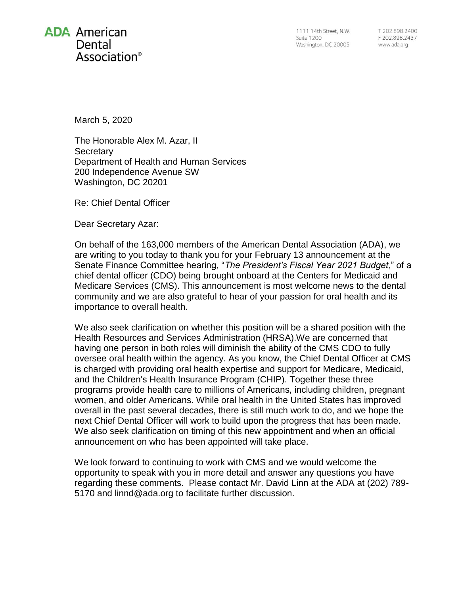

1111 14th Street, N.W. **Suite 1200** Washington, DC 20005

T 202.898.2400 F 202.898.2437 www.ada.org

March 5, 2020

The Honorable Alex M. Azar, II **Secretary** Department of Health and Human Services 200 Independence Avenue SW Washington, DC 20201

Re: Chief Dental Officer

Dear Secretary Azar:

On behalf of the 163,000 members of the American Dental Association (ADA), we are writing to you today to thank you for your February 13 announcement at the Senate Finance Committee hearing, "*The President's Fiscal Year 2021 Budget*," of a chief dental officer (CDO) being brought onboard at the Centers for Medicaid and Medicare Services (CMS). This announcement is most welcome news to the dental community and we are also grateful to hear of your passion for oral health and its importance to overall health.

We also seek clarification on whether this position will be a shared position with the Health Resources and Services Administration (HRSA).We are concerned that having one person in both roles will diminish the ability of the CMS CDO to fully oversee oral health within the agency. As you know, the Chief Dental Officer at CMS is charged with providing oral health expertise and support for Medicare, Medicaid, and the Children's Health Insurance Program (CHIP). Together these three programs provide health care to millions of Americans, including children, pregnant women, and older Americans. While oral health in the United States has improved overall in the past several decades, there is still much work to do, and we hope the next Chief Dental Officer will work to build upon the progress that has been made. We also seek clarification on timing of this new appointment and when an official announcement on who has been appointed will take place.

We look forward to continuing to work with CMS and we would welcome the opportunity to speak with you in more detail and answer any questions you have regarding these comments. Please contact Mr. David Linn at the ADA at (202) 789- 5170 and linnd@ada.org to facilitate further discussion.